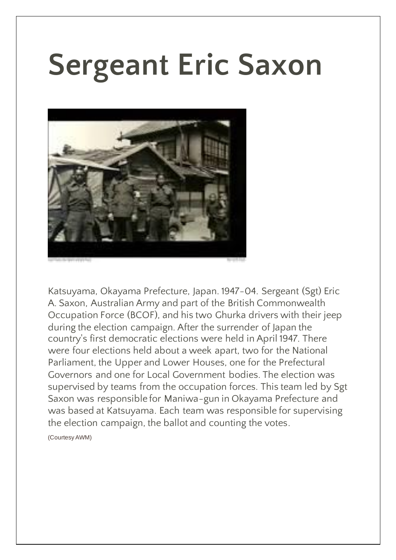## **Sergeant Eric Saxon**



Katsuyama, Okayama Prefecture, Japan. 1947-04. Sergeant (Sgt) Eric A. Saxon, Australian Army and part of the British Commonwealth Occupation Force (BCOF), and his two Ghurka drivers with their jeep during the election campaign. After the surrender of Japan the country's first democratic elections were held in April 1947. There were four elections held about a week apart, two for the National Parliament, the Upper and Lower Houses, one for the Prefectural Governors and one for Local Government bodies. The election was supervised by teams from the occupation forces. This team led by Sgt Saxon was responsible for Maniwa-gun in Okayama Prefecture and was based at Katsuyama. Each team was responsible for supervising the election campaign, the ballot and counting the votes.

(Courtesy AWM)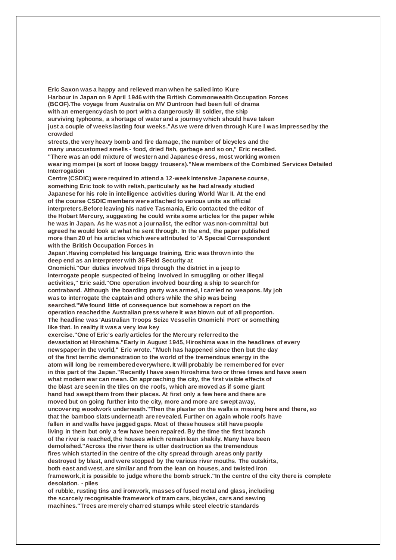**Eric Saxon was a happy and relieved man when he sailed into Kure Harbour in Japan on 9 April 1946 with the British Commonwealth Occupation Forces (BCOF).The voyage from Australia on MV Duntroon had been full of drama with an emergency dash to port with a dangerously ill soldier, the ship surviving typhoons, a shortage of water and a journey which should have taken just a couple of weeks lasting four weeks."As we were driven through Kure I was impressed by the crowded streets, the very heavy bomb and fire damage, the number of bicycles and the many unaccustomed smells - food, dried fish, garbage and so on," Eric recalled. "There was an odd mixture of western and Japanese dress, most working women wearing mompei (a sort of loose baggy trousers)."New members of the Combined Services Detailed Interrogation Centre (CSDIC) were required to attend a 12-week intensive Japanese course, something Eric took to with relish, particularly as he had already studied Japanese for his role in intelligence activities during World War II. At the end of the course CSDIC members were attached to various units as official interpreters.Before leaving his native Tasmania, Eric contacted the editor of the Hobart Mercury, suggesting he could write some articles for the paper while he was in Japan. As he was not a journalist, the editor was non-committal but agreed he would look at what he sent through. In the end, the paper published more than 20 of his articles which were attributed to 'A Special Correspondent with the British Occupation Forces in Japan'.Having completed his language training, Eric was thrown into the deep end as an interpreter with 36 Field Security at Onomichi."Our duties involved trips through the district in a jeep to interrogate people suspected of being involved in smuggling or other illegal activities," Eric said."One operation involved boarding a ship to search for contraband. Although the boarding party was armed, I carried no weapons. My job was to interrogate the captain and others while the ship was being searched."We found little of consequence but somehow a report on the operation reached the Australian press where it was blown out of all proportion. The headline was 'Australian Troops Seize Vessel in Onomichi Port' or something like that. In reality it was a very low key exercise."One of Eric's early articles for the Mercury referred to the devastation at Hiroshima."Early in August 1945, Hiroshima was in the headlines of every newspaper in the world," Eric wrote. "Much has happened since then but the day of the first terrific demonstration to the world of the tremendous energy in the atom will long be remembered everywhere. It will probably be remembered for ever in this part of the Japan."Recently I have seen Hiroshima two or three times and have seen what modern war can mean. On approaching the city, the first visible effects of the blast are seen in the tiles on the roofs, which are moved as if some giant hand had swept them from their places. At first only a few here and there are moved but on going further into the city, more and more are swept away, uncovering woodwork underneath."Then the plaster on the walls is missing here and there, so that the bamboo slats underneath are revealed. Further on again whole roofs have fallen in and walls have jagged gaps. Most of these houses still have people living in them but only a few have been repaired. By the time the first branch of the river is reached, the houses which remain lean shakily. Many have been demolished."Across the river there is utter destruction as the tremendous fires which started in the centre of the city spread through areas only partly destroyed by blast, and were stopped by the various river mouths. The outskirts, both east and west, are similar and from the lean on houses, and twisted iron framework, it is possible to judge where the bomb struck."In the centre of the city there is complete desolation. - piles of rubble, rusting tins and ironwork, masses of fused metal and glass, including**

**the scarcely recognisable framework of tram cars, bicycles, cars and sewing machines."Trees are merely charred stumps while steel electric standards**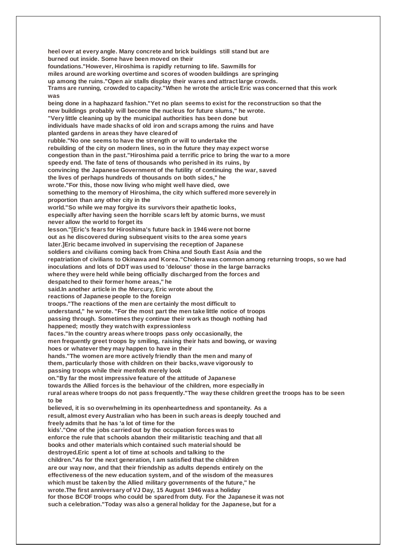**heel over at every angle. Many concrete and brick buildings still stand but are burned out inside. Some have been moved on their foundations."However, Hiroshima is rapidly returning to life. Sawmills for miles around are working overtime and scores of wooden buildings are springing up among the ruins."Open air stalls display their wares and attract large crowds. Trams are running, crowded to capacity."When he wrote the article Eric was concerned that this work was being done in a haphazard fashion."Yet no plan seems to exist for the reconstruction so that the new buildings probably will become the nucleus for future slums," he wrote. "Very little cleaning up by the municipal authorities has been done but individuals have made shacks of old iron and scraps among the ruins and have planted gardens in areas they have cleared of rubble."No one seems to have the strength or will to undertake the rebuilding of the city on modern lines, so in the future they may expect worse congestion than in the past."Hiroshima paid a terrific price to bring the war to a more speedy end. The fate of tens of thousands who perished in its ruins, by convincing the Japanese Government of the futility of continuing the war, saved the lives of perhaps hundreds of thousands on both sides," he wrote."For this, those now living who might well have died, owe something to the memory of Hiroshima, the city which suffered more severely in proportion than any other city in the world."So while we may forgive its survivors their apathetic looks, especially after having seen the horrible scars left by atomic burns, we must never allow the world to forget its lesson."[Eric's fears for Hiroshima's future back in 1946 were not borne out as he discovered during subsequent visits to the area some years later.]Eric became involved in supervising the reception of Japanese soldiers and civilians coming back from China and South East Asia and the repatriation of civilians to Okinawa and Korea."Cholera was common among returning troops, so we had inoculations and lots of DDT was used to 'delouse' those in the large barracks where they were held while being officially discharged from the forces and despatched to their former home areas," he said.In another article in the Mercury, Eric wrote about the reactions of Japanese people to the foreign troops."The reactions of the men are certainly the most difficult to understand," he wrote. "For the most part the men take little notice of troops passing through. Sometimes they continue their work as though nothing had happened; mostly they watch with expressionless faces."In the country areas where troops pass only occasionally, the men frequently greet troops by smiling, raising their hats and bowing, or waving hoes or whatever they may happen to have in their hands."The women are more actively friendly than the men and many of them, particularly those with children on their backs, wave vigorously to passing troops while their menfolk merely look on."By far the most impressive feature of the attitude of Japanese towards the Allied forces is the behaviour of the children, more especially in rural areas where troops do not pass frequently."The way these children greet the troops has to be seen to be believed, it is so overwhelming in its openheartedness and spontaneity. As a result, almost every Australian who has been in such areas is deeply touched and freely admits that he has 'a lot of time for the kids'."One of the jobs carried out by the occupation forces was to enforce the rule that schools abandon their militaristic teaching and that all books and other materials which contained such material should be destroyed.Eric spent a lot of time at schools and talking to the children."As for the next generation, I am satisfied that the children are our way now, and that their friendship as adults depends entirely on the effectiveness of the new education system, and of the wisdom of the measures which must be taken by the Allied military governments of the future," he wrote.The first anniversary of VJ Day, 15 August 1946 was a holiday for those BCOF troops who could be spared from duty. For the Japanese it was not such a celebration."Today was also a general holiday for the Japanese, but for a**